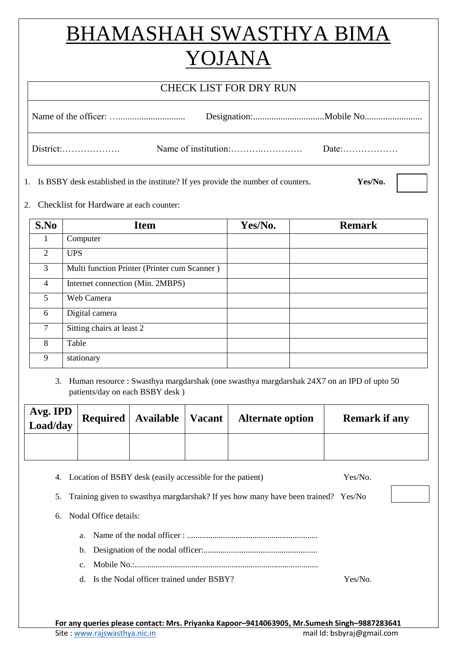## BHAMASHAH SWASTHYA BIMA YOJANA

## CHECK LIST FOR DRY RUN

1. Is BSBY desk established in the institute? If yes provide the number of counters. **Yes/No.**

2. Checklist for Hardware at each counter:

| S.No           | <b>Item</b>                                  | Yes/No. | <b>Remark</b> |
|----------------|----------------------------------------------|---------|---------------|
| 1              | Computer                                     |         |               |
| 2              | <b>UPS</b>                                   |         |               |
| 3              | Multi function Printer (Printer cum Scanner) |         |               |
| $\overline{4}$ | Internet connection (Min. 2MBPS)             |         |               |
| 5              | Web Camera                                   |         |               |
| 6              | Digital camera                               |         |               |
| 7              | Sitting chairs at least 2                    |         |               |
| 8              | Table                                        |         |               |
| 9              | stationary                                   |         |               |

3. Human resource : Swasthya margdarshak (one swasthya margdarshak 24X7 on an IPD of upto 50 patients/day on each BSBY desk )

| Avg. IPD<br>Load/day | Required   Available   Vacant | <b>Alternate option</b> | <b>Remark if any</b> |
|----------------------|-------------------------------|-------------------------|----------------------|
|                      |                               |                         |                      |

|    |             | 4. Location of BSBY desk (easily accessible for the patient)                                                                               | Yes/No. |  |
|----|-------------|--------------------------------------------------------------------------------------------------------------------------------------------|---------|--|
| 5. |             | Training given to swasthya margdarshak? If yes how many have been trained? Yes/No                                                          |         |  |
|    |             | 6. Nodal Office details:                                                                                                                   |         |  |
|    |             | a. Name of the nodal officer : $\ldots$ $\ldots$ $\ldots$ $\ldots$ $\ldots$ $\ldots$ $\ldots$ $\ldots$ $\ldots$ $\ldots$ $\ldots$ $\ldots$ |         |  |
|    |             |                                                                                                                                            |         |  |
|    | $c_{\cdot}$ |                                                                                                                                            |         |  |
|    |             | d. Is the Nodal officer trained under BSBY?                                                                                                | Yes/No. |  |